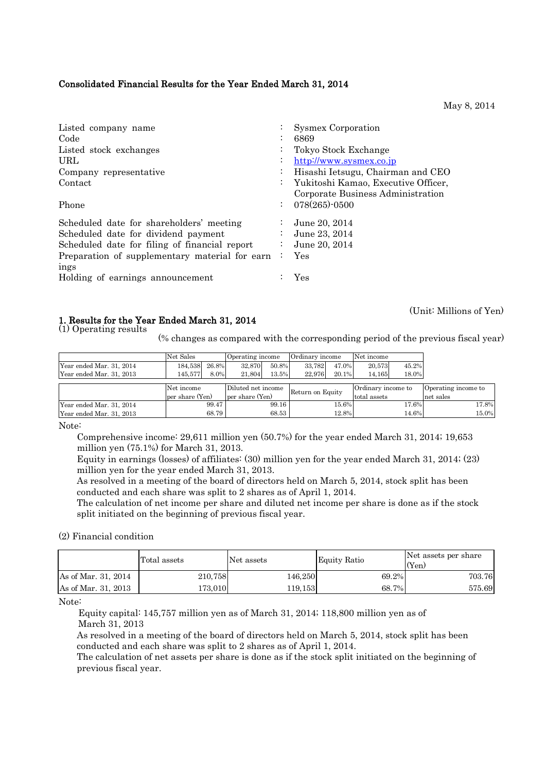# Consolidated Financial Results for the Year Ended March 31, 2014

May 8, 2014

(Unit: Millions of Yen)

| Listed company name                            |                           | <b>Sysmex Corporation</b>           |
|------------------------------------------------|---------------------------|-------------------------------------|
| Code                                           | $\bullet$                 | 6869                                |
| Listed stock exchanges                         |                           | Tokyo Stock Exchange                |
| URL                                            | $\bullet$                 | http://www.sysmex.co.jp             |
| Company representative                         |                           | Hisashi Ietsugu, Chairman and CEO   |
| Contact                                        | $\mathbb{Z}^{\mathbb{Z}}$ | Yukitoshi Kamao, Executive Officer, |
|                                                |                           | Corporate Business Administration   |
| Phone                                          |                           | $078(265)$ -0500                    |
| Scheduled date for shareholders' meeting       |                           | June 20, 2014                       |
| Scheduled date for dividend payment            |                           | June 23, 2014                       |
| Scheduled date for filing of financial report  | ÷                         | June 20, 2014                       |
| Preparation of supplementary material for earn |                           | Yes                                 |
| ings                                           |                           |                                     |
| Holding of earnings announcement               |                           | Yes                                 |

### 1. Results for the Year Ended March 31, 2014

(1) Operating results

(% changes as compared with the corresponding period of the previous fiscal year)

|                          | Net Sales       |       | Operating income   |       | Ordinary income                        |       | Net income          |       |           |
|--------------------------|-----------------|-------|--------------------|-------|----------------------------------------|-------|---------------------|-------|-----------|
| Year ended Mar. 31, 2014 | 184,538         | 26.8% | 32.870             | 50.8% | 33.782                                 | 47.0% | 20.573              | 45.2% |           |
| Year ended Mar. 31, 2013 | 145.577         | 8.0%  | 21,804             | 13.5% | 22,976                                 | 20.1% | 14,165              | 18.0% |           |
|                          |                 |       |                    |       |                                        |       |                     |       |           |
|                          | Net income      |       | Diluted net income |       | Ordinary income to<br>Return on Equity |       | Operating income to |       |           |
|                          | per share (Yen) |       | per share (Yen)    |       |                                        |       | total assets        |       | net sales |
| Year ended Mar. 31, 2014 |                 | 99.47 |                    | 99.16 |                                        | 15.6% |                     | 17.6% | 17.8%     |
| Year ended Mar. 31, 2013 |                 | 68.79 |                    | 68.53 |                                        | 12.8% |                     | 14.6% | 15.0%     |

Note:

 Comprehensive income: 29,611 million yen (50.7%) for the year ended March 31, 2014; 19,653 million yen (75.1%) for March 31, 2013.

Equity in earnings (losses) of affiliates: (30) million yen for the year ended March 31, 2014; (23) million yen for the year ended March 31, 2013.

As resolved in a meeting of the board of directors held on March 5, 2014, stock split has been conducted and each share was split to 2 shares as of April 1, 2014.

The calculation of net income per share and diluted net income per share is done as if the stock split initiated on the beginning of previous fiscal year.

(2) Financial condition

|                     | Total assets | Net assets | Equity Ratio | Net assets per share<br>(Yen) |
|---------------------|--------------|------------|--------------|-------------------------------|
| As of Mar. 31, 2014 | 210,758      | 146,250    | 69.2%        | 703.76                        |
| As of Mar. 31, 2013 | 173.010      | 119,153    | 68.7%        | 575.69                        |

Note:

Equity capital: 145,757 million yen as of March 31, 2014; 118,800 million yen as of March 31, 2013

As resolved in a meeting of the board of directors held on March 5, 2014, stock split has been conducted and each share was split to 2 shares as of April 1, 2014.

The calculation of net assets per share is done as if the stock split initiated on the beginning of previous fiscal year.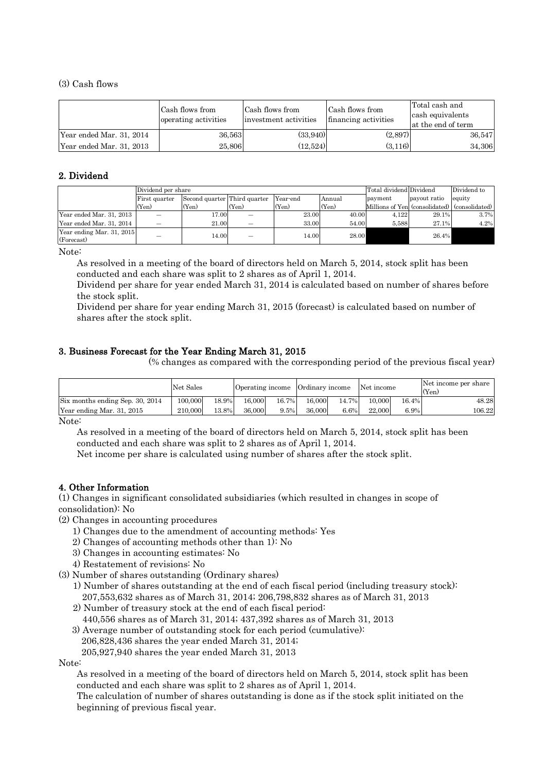#### (3) Cash flows

|                          | Cash flows from<br>operating activities | Cash flows from<br>investment activities | Cash flows from<br>financing activities | Total cash and<br>cash equivalents<br>at the end of term |
|--------------------------|-----------------------------------------|------------------------------------------|-----------------------------------------|----------------------------------------------------------|
| Year ended Mar. 31, 2014 | 36,563                                  | (33.940)                                 | (2,897)                                 | 36.547                                                   |
| Year ended Mar. 31, 2013 | 25,806                                  | (12.524)                                 | (3.116)                                 | 34,306                                                   |

# 2. Dividend

|                           | Dividend per share |                              |       |          |        | Total dividend Dividend        |              | Dividend to    |
|---------------------------|--------------------|------------------------------|-------|----------|--------|--------------------------------|--------------|----------------|
|                           | First quarter      | Second quarter Third quarter |       | Year-end | Annual | payment                        | payout ratio | equity         |
|                           | (Yen)              | $(Y_{en})$                   | (Yen) | (Yen)    | (Yen)  | Millions of Yen (consolidated) |              | (consolidated) |
| Year ended Mar. 31, 2013  |                    | 17.00                        |       | 23.00    | 40.00  | 4.122                          | 29.1%        | 3.7%           |
| Year ended Mar. 31, 2014  | –                  | 21.00                        | –     | 33.00    | 54.00  | 5.588                          | 27.1%        | 4.2%           |
| Year ending Mar. 31, 2015 | _                  | 14.00                        | _     | 14.00    | 28.00  |                                | 26.4%        |                |
| (Forecast)                |                    |                              |       |          |        |                                |              |                |

Note:

As resolved in a meeting of the board of directors held on March 5, 2014, stock split has been conducted and each share was split to 2 shares as of April 1, 2014.

Dividend per share for year ended March 31, 2014 is calculated based on number of shares before the stock split.

Dividend per share for year ending March 31, 2015 (forecast) is calculated based on number of shares after the stock split.

# 3. Business Forecast for the Year Ending March 31, 2015

(% changes as compared with the corresponding period of the previous fiscal year)

|                                                     | Net Sales |       | Operating income Ordinary income |       |        |       | Net income |       | Net income per share<br>(Yen) |
|-----------------------------------------------------|-----------|-------|----------------------------------|-------|--------|-------|------------|-------|-------------------------------|
| Six months ending Sep. 30, 2014                     | 100,000   | 18.9% | 16,000                           | 16.7% | 16,000 | 14.7% | 10.000     | 16.4% | 48.28                         |
| Year ending Mar. 31, 2015                           | 210,000   | 13.8% | 36,000                           | 9.5%  | 36,000 | 6.6%  | 22,000     | 6.9%  | 106.22                        |
| $\mathbf{X}$ $\mathbf{Y}$ $\mathbf{Y}$ $\mathbf{Y}$ |           |       |                                  |       |        |       |            |       |                               |

Note:

As resolved in a meeting of the board of directors held on March 5, 2014, stock split has been conducted and each share was split to 2 shares as of April 1, 2014.

Net income per share is calculated using number of shares after the stock split.

# 4. Other Information

(1) Changes in significant consolidated subsidiaries (which resulted in changes in scope of consolidation): No

(2) Changes in accounting procedures

- 1) Changes due to the amendment of accounting methods: Yes
- 2) Changes of accounting methods other than 1): No
- 3) Changes in accounting estimates: No
- 4) Restatement of revisions: No
- (3) Number of shares outstanding (Ordinary shares)
	- 1) Number of shares outstanding at the end of each fiscal period (including treasury stock): 207,553,632 shares as of March 31, 2014; 206,798,832 shares as of March 31, 2013
	- 2) Number of treasury stock at the end of each fiscal period: 440,556 shares as of March 31, 2014; 437,392 shares as of March 31, 2013
	- 3) Average number of outstanding stock for each period (cumulative):
		- 206,828,436 shares the year ended March 31, 2014;
		- 205,927,940 shares the year ended March 31, 2013

Note:

As resolved in a meeting of the board of directors held on March 5, 2014, stock split has been conducted and each share was split to 2 shares as of April 1, 2014.

The calculation of number of shares outstanding is done as if the stock split initiated on the beginning of previous fiscal year.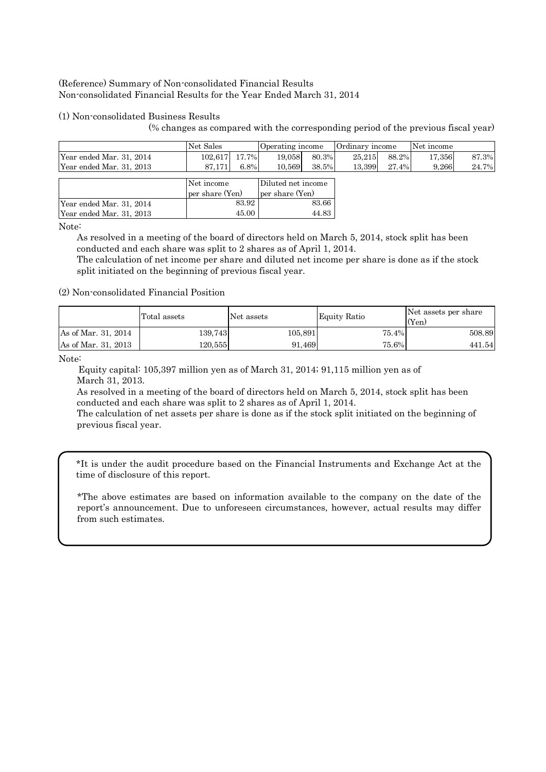# (Reference) Summary of Non-consolidated Financial Results Non-consolidated Financial Results for the Year Ended March 31, 2014

# (1) Non-consolidated Business Results

(% changes as compared with the corresponding period of the previous fiscal year)

|                          | Net Sales       |       | Operating income   |       | Ordinary income |       | Net income |       |
|--------------------------|-----------------|-------|--------------------|-------|-----------------|-------|------------|-------|
| Year ended Mar. 31, 2014 | 102.617         | 17.7% | 19.058             | 80.3% | 25.215          | 88.2% | 17.356     | 87.3% |
| Year ended Mar. 31, 2013 | 87.171          | 6.8%  | 10.569             | 38.5% | 13.399          | 27.4% | 9,266      | 24.7% |
|                          |                 |       |                    |       |                 |       |            |       |
|                          | Net income      |       | Diluted net income |       |                 |       |            |       |
|                          | per share (Yen) |       | per share (Yen)    |       |                 |       |            |       |
| Year ended Mar. 31, 2014 |                 | 83.92 |                    | 83.66 |                 |       |            |       |
| Year ended Mar. 31, 2013 |                 | 45.00 |                    | 44.83 |                 |       |            |       |

Note:

As resolved in a meeting of the board of directors held on March 5, 2014, stock split has been conducted and each share was split to 2 shares as of April 1, 2014.

The calculation of net income per share and diluted net income per share is done as if the stock split initiated on the beginning of previous fiscal year.

### (2) Non-consolidated Financial Position

|                     | Total assets | Net assets | Equity Ratio | Net assets per share<br>(Yen) |
|---------------------|--------------|------------|--------------|-------------------------------|
| As of Mar. 31, 2014 | 139.743      | 105.891    | 75.4%        | 508.89                        |
| As of Mar. 31, 2013 | 120.555      | 91.469     | 75.6%        | 441.54                        |

Note:

Equity capital: 105,397 million yen as of March 31, 2014; 91,115 million yen as of March 31, 2013.

As resolved in a meeting of the board of directors held on March 5, 2014, stock split has been conducted and each share was split to 2 shares as of April 1, 2014.

The calculation of net assets per share is done as if the stock split initiated on the beginning of previous fiscal year.

\*It is under the audit procedure based on the Financial Instruments and Exchange Act at the time of disclosure of this report.

\*The above estimates are based on information available to the company on the date of the report's announcement. Due to unforeseen circumstances, however, actual results may differ from such estimates.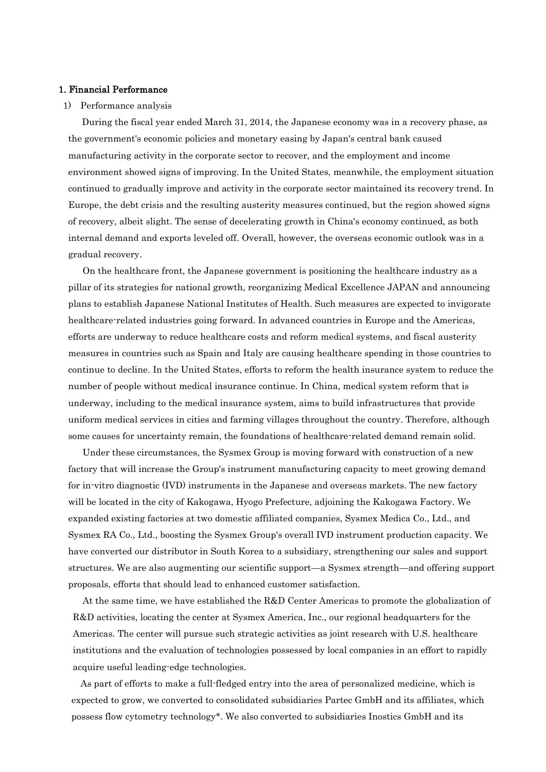#### 1. Financial Performance

#### 1) Performance analysis

During the fiscal year ended March 31, 2014, the Japanese economy was in a recovery phase, as the government's economic policies and monetary easing by Japan's central bank caused manufacturing activity in the corporate sector to recover, and the employment and income environment showed signs of improving. In the United States, meanwhile, the employment situation continued to gradually improve and activity in the corporate sector maintained its recovery trend. In Europe, the debt crisis and the resulting austerity measures continued, but the region showed signs of recovery, albeit slight. The sense of decelerating growth in China's economy continued, as both internal demand and exports leveled off. Overall, however, the overseas economic outlook was in a gradual recovery.

On the healthcare front, the Japanese government is positioning the healthcare industry as a pillar of its strategies for national growth, reorganizing Medical Excellence JAPAN and announcing plans to establish Japanese National Institutes of Health. Such measures are expected to invigorate healthcare-related industries going forward. In advanced countries in Europe and the Americas, efforts are underway to reduce healthcare costs and reform medical systems, and fiscal austerity measures in countries such as Spain and Italy are causing healthcare spending in those countries to continue to decline. In the United States, efforts to reform the health insurance system to reduce the number of people without medical insurance continue. In China, medical system reform that is underway, including to the medical insurance system, aims to build infrastructures that provide uniform medical services in cities and farming villages throughout the country. Therefore, although some causes for uncertainty remain, the foundations of healthcare-related demand remain solid.

Under these circumstances, the Sysmex Group is moving forward with construction of a new factory that will increase the Group's instrument manufacturing capacity to meet growing demand for in-vitro diagnostic (IVD) instruments in the Japanese and overseas markets. The new factory will be located in the city of Kakogawa, Hyogo Prefecture, adjoining the Kakogawa Factory. We expanded existing factories at two domestic affiliated companies, Sysmex Medica Co., Ltd., and Sysmex RA Co., Ltd., boosting the Sysmex Group's overall IVD instrument production capacity. We have converted our distributor in South Korea to a subsidiary, strengthening our sales and support structures. We are also augmenting our scientific support—a Sysmex strength—and offering support proposals, efforts that should lead to enhanced customer satisfaction.

At the same time, we have established the R&D Center Americas to promote the globalization of R&D activities, locating the center at Sysmex America, Inc., our regional headquarters for the Americas. The center will pursue such strategic activities as joint research with U.S. healthcare institutions and the evaluation of technologies possessed by local companies in an effort to rapidly acquire useful leading-edge technologies.

As part of efforts to make a full-fledged entry into the area of personalized medicine, which is expected to grow, we converted to consolidated subsidiaries Partec GmbH and its affiliates, which possess flow cytometry technology\*. We also converted to subsidiaries Inostics GmbH and its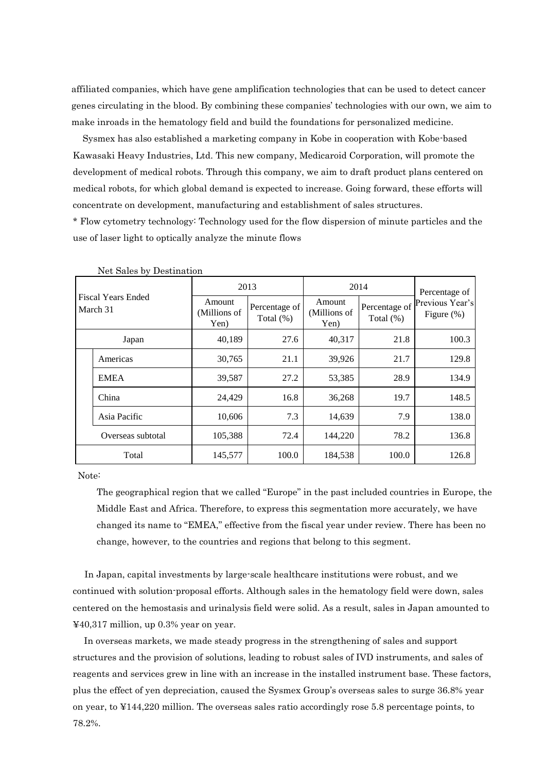affiliated companies, which have gene amplification technologies that can be used to detect cancer genes circulating in the blood. By combining these companies' technologies with our own, we aim to make inroads in the hematology field and build the foundations for personalized medicine.

Sysmex has also established a marketing company in Kobe in cooperation with Kobe-based Kawasaki Heavy Industries, Ltd. This new company, Medicaroid Corporation, will promote the development of medical robots. Through this company, we aim to draft product plans centered on medical robots, for which global demand is expected to increase. Going forward, these efforts will concentrate on development, manufacturing and establishment of sales structures.

\* Flow cytometry technology: Technology used for the flow dispersion of minute particles and the use of laser light to optically analyze the minute flows

|                                       | 2013                           |                               | 2014                           | Percentage of              |                                  |
|---------------------------------------|--------------------------------|-------------------------------|--------------------------------|----------------------------|----------------------------------|
| <b>Fiscal Years Ended</b><br>March 31 | Amount<br>(Millions of<br>Yen) | Percentage of<br>Total $(\%)$ | Amount<br>(Millions of<br>Yen) | Percentage of<br>Total (%) | Previous Year's<br>Figure $(\%)$ |
| Japan                                 | 40,189                         | 27.6                          | 40,317                         | 21.8                       | 100.3                            |
| Americas                              | 30,765                         | 21.1                          | 39,926                         | 21.7                       | 129.8                            |
| <b>EMEA</b>                           | 39,587                         | 27.2                          | 53,385                         | 28.9                       | 134.9                            |
| China                                 | 24,429                         | 16.8                          | 36,268                         | 19.7                       | 148.5                            |
| Asia Pacific                          | 10,606                         | 7.3                           | 14,639                         | 7.9                        | 138.0                            |
| Overseas subtotal                     | 105,388                        | 72.4                          | 144,220                        | 78.2                       | 136.8                            |
| Total                                 | 145,577                        | 100.0                         | 184,538                        | 100.0                      | 126.8                            |

Net Sales by Destination

Note:

The geographical region that we called "Europe" in the past included countries in Europe, the Middle East and Africa. Therefore, to express this segmentation more accurately, we have changed its name to "EMEA," effective from the fiscal year under review. There has been no change, however, to the countries and regions that belong to this segment.

In Japan, capital investments by large-scale healthcare institutions were robust, and we continued with solution-proposal efforts. Although sales in the hematology field were down, sales centered on the hemostasis and urinalysis field were solid. As a result, sales in Japan amounted to ¥40,317 million, up 0.3% year on year.

In overseas markets, we made steady progress in the strengthening of sales and support structures and the provision of solutions, leading to robust sales of IVD instruments, and sales of reagents and services grew in line with an increase in the installed instrument base. These factors, plus the effect of yen depreciation, caused the Sysmex Group's overseas sales to surge 36.8% year on year, to ¥144,220 million. The overseas sales ratio accordingly rose 5.8 percentage points, to 78.2%.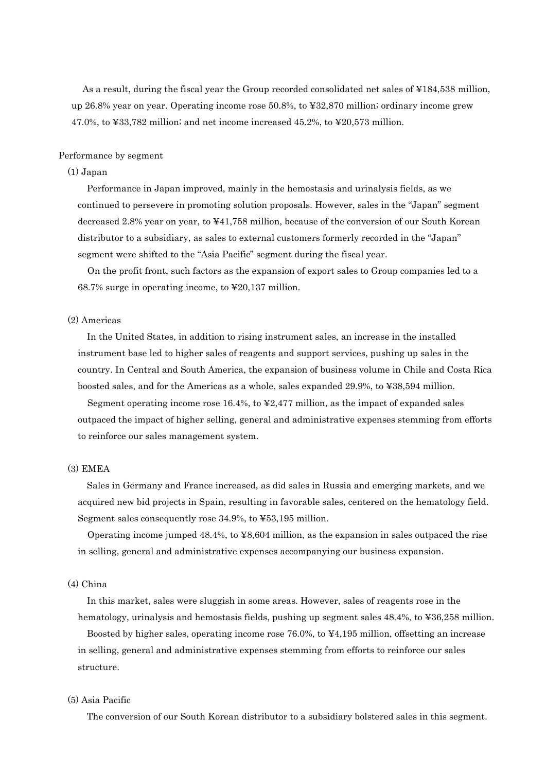As a result, during the fiscal year the Group recorded consolidated net sales of ¥184,538 million, up 26.8% year on year. Operating income rose 50.8%, to ¥32,870 million; ordinary income grew 47.0%, to ¥33,782 million; and net income increased 45.2%, to ¥20,573 million.

#### Performance by segment

#### (1) Japan

Performance in Japan improved, mainly in the hemostasis and urinalysis fields, as we continued to persevere in promoting solution proposals. However, sales in the "Japan" segment decreased 2.8% year on year, to ¥41,758 million, because of the conversion of our South Korean distributor to a subsidiary, as sales to external customers formerly recorded in the "Japan" segment were shifted to the "Asia Pacific" segment during the fiscal year.

On the profit front, such factors as the expansion of export sales to Group companies led to a 68.7% surge in operating income, to ¥20,137 million.

#### (2) Americas

In the United States, in addition to rising instrument sales, an increase in the installed instrument base led to higher sales of reagents and support services, pushing up sales in the country. In Central and South America, the expansion of business volume in Chile and Costa Rica boosted sales, and for the Americas as a whole, sales expanded 29.9%, to ¥38,594 million.

Segment operating income rose 16.4%, to ¥2,477 million, as the impact of expanded sales outpaced the impact of higher selling, general and administrative expenses stemming from efforts to reinforce our sales management system.

# (3) EMEA

Sales in Germany and France increased, as did sales in Russia and emerging markets, and we acquired new bid projects in Spain, resulting in favorable sales, centered on the hematology field. Segment sales consequently rose 34.9%, to ¥53,195 million.

Operating income jumped 48.4%, to ¥8,604 million, as the expansion in sales outpaced the rise in selling, general and administrative expenses accompanying our business expansion.

# (4) China

In this market, sales were sluggish in some areas. However, sales of reagents rose in the hematology, urinalysis and hemostasis fields, pushing up segment sales  $48.4\%$ , to  $436.258$  million.

Boosted by higher sales, operating income rose 76.0%, to ¥4,195 million, offsetting an increase in selling, general and administrative expenses stemming from efforts to reinforce our sales structure.

### (5) Asia Pacific

The conversion of our South Korean distributor to a subsidiary bolstered sales in this segment.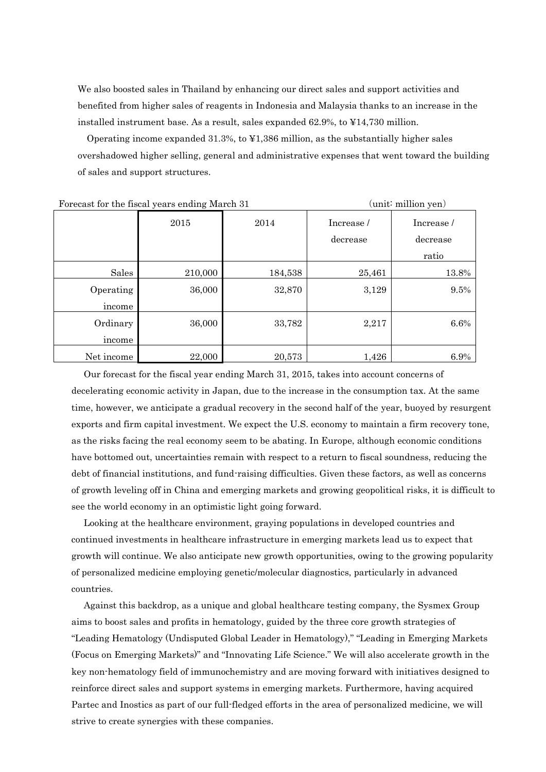We also boosted sales in Thailand by enhancing our direct sales and support activities and benefited from higher sales of reagents in Indonesia and Malaysia thanks to an increase in the installed instrument base. As a result, sales expanded 62.9%, to ¥14,730 million.

Operating income expanded 31.3%, to ¥1,386 million, as the substantially higher sales overshadowed higher selling, general and administrative expenses that went toward the building of sales and support structures.

|            | Portcast for the fistal years ending march of |         | $\mu$ unio minimum $\mu$ |            |
|------------|-----------------------------------------------|---------|--------------------------|------------|
|            | 2015                                          | 2014    | Increase/                | Increase / |
|            |                                               |         | decrease                 | decrease   |
|            |                                               |         |                          | ratio      |
| Sales      | 210,000                                       | 184,538 | 25,461                   | 13.8%      |
| Operating  | 36,000                                        | 32,870  | 3,129                    | 9.5%       |
| income     |                                               |         |                          |            |
| Ordinary   | 36,000                                        | 33,782  | 2,217                    | $6.6\%$    |
| income     |                                               |         |                          |            |
| Net income | 22,000                                        | 20,573  | 1,426                    | 6.9%       |

Forecast for the fiscal years ending March 31 (unit: million yen)

Our forecast for the fiscal year ending March 31, 2015, takes into account concerns of decelerating economic activity in Japan, due to the increase in the consumption tax. At the same time, however, we anticipate a gradual recovery in the second half of the year, buoyed by resurgent exports and firm capital investment. We expect the U.S. economy to maintain a firm recovery tone, as the risks facing the real economy seem to be abating. In Europe, although economic conditions have bottomed out, uncertainties remain with respect to a return to fiscal soundness, reducing the debt of financial institutions, and fund-raising difficulties. Given these factors, as well as concerns of growth leveling off in China and emerging markets and growing geopolitical risks, it is difficult to see the world economy in an optimistic light going forward.

Looking at the healthcare environment, graying populations in developed countries and continued investments in healthcare infrastructure in emerging markets lead us to expect that growth will continue. We also anticipate new growth opportunities, owing to the growing popularity of personalized medicine employing genetic/molecular diagnostics, particularly in advanced countries.

Against this backdrop, as a unique and global healthcare testing company, the Sysmex Group aims to boost sales and profits in hematology, guided by the three core growth strategies of "Leading Hematology (Undisputed Global Leader in Hematology)," "Leading in Emerging Markets (Focus on Emerging Markets)" and "Innovating Life Science." We will also accelerate growth in the key non-hematology field of immunochemistry and are moving forward with initiatives designed to reinforce direct sales and support systems in emerging markets. Furthermore, having acquired Partec and Inostics as part of our full-fledged efforts in the area of personalized medicine, we will strive to create synergies with these companies.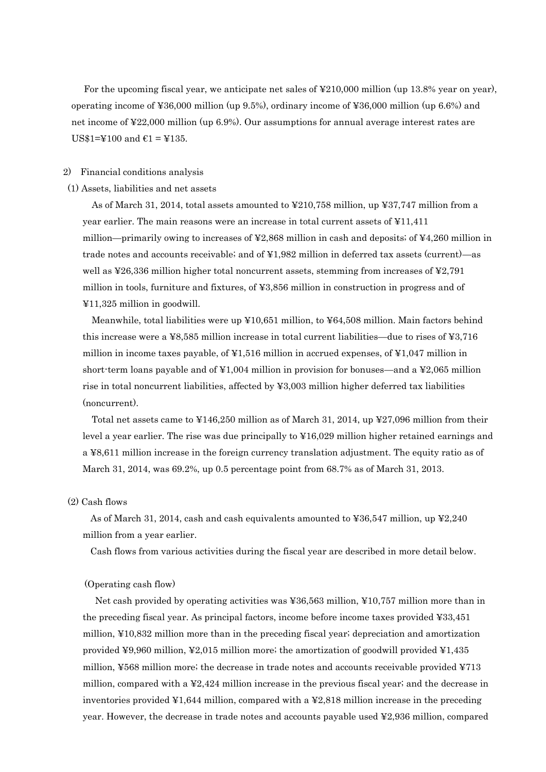For the upcoming fiscal year, we anticipate net sales of ¥210,000 million (up 13.8% year on year), operating income of ¥36,000 million (up 9.5%), ordinary income of ¥36,000 million (up 6.6%) and net income of ¥22,000 million (up 6.9%). Our assumptions for annual average interest rates are US\$1=¥100 and €1 = ¥135.

#### 2) Financial conditions analysis

#### (1) Assets, liabilities and net assets

As of March 31, 2014, total assets amounted to ¥210,758 million, up ¥37,747 million from a year earlier. The main reasons were an increase in total current assets of ¥11,411 million—primarily owing to increases of  $\textless 2,868$  million in cash and deposits; of  $\textless 4,260$  million in trade notes and accounts receivable; and of ¥1,982 million in deferred tax assets (current)—as well as ¥26,336 million higher total noncurrent assets, stemming from increases of ¥2,791 million in tools, furniture and fixtures, of ¥3,856 million in construction in progress and of ¥11,325 million in goodwill.

Meanwhile, total liabilities were up ¥10,651 million, to ¥64,508 million. Main factors behind this increase were a ¥8,585 million increase in total current liabilities—due to rises of ¥3,716 million in income taxes payable, of ¥1,516 million in accrued expenses, of ¥1,047 million in short-term loans payable and of  $\yen 1,004$  million in provision for bonuses—and a  $\yen 2,065$  million rise in total noncurrent liabilities, affected by ¥3,003 million higher deferred tax liabilities (noncurrent).

Total net assets came to ¥146,250 million as of March 31, 2014, up ¥27,096 million from their level a year earlier. The rise was due principally to ¥16,029 million higher retained earnings and a ¥8,611 million increase in the foreign currency translation adjustment. The equity ratio as of March 31, 2014, was 69.2%, up 0.5 percentage point from 68.7% as of March 31, 2013.

#### (2) Cash flows

As of March 31, 2014, cash and cash equivalents amounted to ¥36,547 million, up ¥2,240 million from a year earlier.

Cash flows from various activities during the fiscal year are described in more detail below.

#### (Operating cash flow)

Net cash provided by operating activities was ¥36,563 million, ¥10,757 million more than in the preceding fiscal year. As principal factors, income before income taxes provided ¥33,451 million, ¥10,832 million more than in the preceding fiscal year; depreciation and amortization provided ¥9,960 million, ¥2,015 million more; the amortization of goodwill provided ¥1,435 million, ¥568 million more; the decrease in trade notes and accounts receivable provided ¥713 million, compared with a ¥2,424 million increase in the previous fiscal year; and the decrease in inventories provided  $\yen$ 1,644 million, compared with a  $\yen$ 2,818 million increase in the preceding year. However, the decrease in trade notes and accounts payable used ¥2,936 million, compared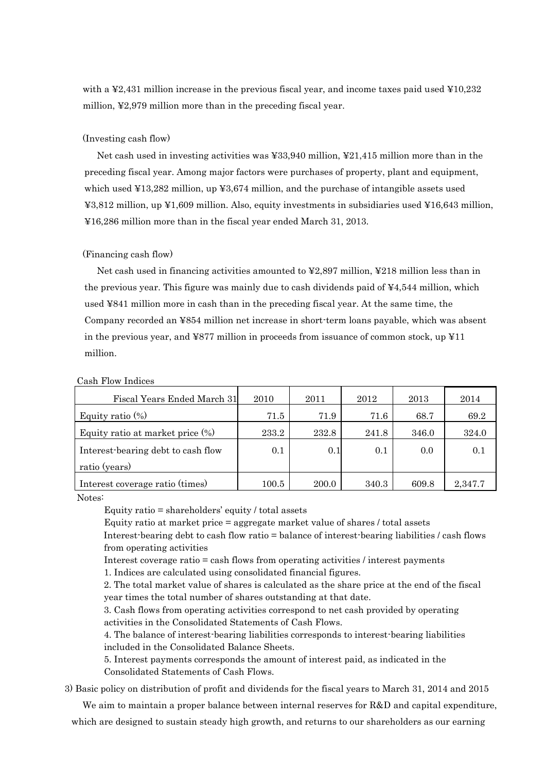with a ¥2,431 million increase in the previous fiscal year, and income taxes paid used ¥10,232 million, ¥2,979 million more than in the preceding fiscal year.

#### (Investing cash flow)

Net cash used in investing activities was ¥33,940 million, ¥21,415 million more than in the preceding fiscal year. Among major factors were purchases of property, plant and equipment, which used ¥13,282 million, up ¥3,674 million, and the purchase of intangible assets used ¥3,812 million, up ¥1,609 million. Also, equity investments in subsidiaries used ¥16,643 million, ¥16,286 million more than in the fiscal year ended March 31, 2013.

#### (Financing cash flow)

Net cash used in financing activities amounted to ¥2,897 million, ¥218 million less than in the previous year. This figure was mainly due to cash dividends paid of ¥4,544 million, which used ¥841 million more in cash than in the preceding fiscal year. At the same time, the Company recorded an ¥854 million net increase in short-term loans payable, which was absent in the previous year, and ¥877 million in proceeds from issuance of common stock, up  $\text{\textsterling}11$ million.

| Fiscal Years Ended March 31         | 2010      | 2011  | 2012  | 2013  | 2014    |
|-------------------------------------|-----------|-------|-------|-------|---------|
| Equity ratio $(\%)$                 | 71.5      | 71.9  | 71.6  | 68.7  | 69.2    |
| Equity ratio at market price $(\%)$ | 233.2     | 232.8 | 241.8 | 346.0 | 324.0   |
| Interest-bearing debt to cash flow  | 0.1       | 0.1   | 0.1   | 0.0   | 0.1     |
| ratio (years)                       |           |       |       |       |         |
| Interest coverage ratio (times)     | $100.5\,$ | 200.0 | 340.3 | 609.8 | 2,347.7 |

#### Cash Flow Indices

Notes:

Equity ratio = shareholders' equity / total assets

Equity ratio at market price = aggregate market value of shares / total assets Interest-bearing debt to cash flow ratio = balance of interest-bearing liabilities / cash flows from operating activities

Interest coverage ratio = cash flows from operating activities / interest payments

1. Indices are calculated using consolidated financial figures.

2. The total market value of shares is calculated as the share price at the end of the fiscal year times the total number of shares outstanding at that date.

3. Cash flows from operating activities correspond to net cash provided by operating activities in the Consolidated Statements of Cash Flows.

4. The balance of interest-bearing liabilities corresponds to interest-bearing liabilities included in the Consolidated Balance Sheets.

5. Interest payments corresponds the amount of interest paid, as indicated in the Consolidated Statements of Cash Flows.

3) Basic policy on distribution of profit and dividends for the fiscal years to March 31, 2014 and 2015

We aim to maintain a proper balance between internal reserves for R&D and capital expenditure, which are designed to sustain steady high growth, and returns to our shareholders as our earning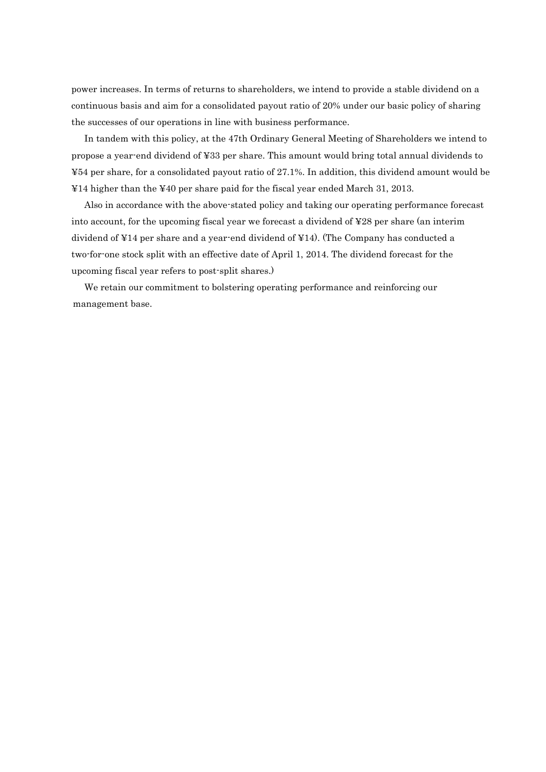power increases. In terms of returns to shareholders, we intend to provide a stable dividend on a continuous basis and aim for a consolidated payout ratio of 20% under our basic policy of sharing the successes of our operations in line with business performance.

In tandem with this policy, at the 47th Ordinary General Meeting of Shareholders we intend to propose a year-end dividend of ¥33 per share. This amount would bring total annual dividends to ¥54 per share, for a consolidated payout ratio of 27.1%. In addition, this dividend amount would be ¥14 higher than the ¥40 per share paid for the fiscal year ended March 31, 2013.

Also in accordance with the above-stated policy and taking our operating performance forecast into account, for the upcoming fiscal year we forecast a dividend of ¥28 per share (an interim dividend of ¥14 per share and a year-end dividend of ¥14). (The Company has conducted a two-for-one stock split with an effective date of April 1, 2014. The dividend forecast for the upcoming fiscal year refers to post-split shares.)

We retain our commitment to bolstering operating performance and reinforcing our management base.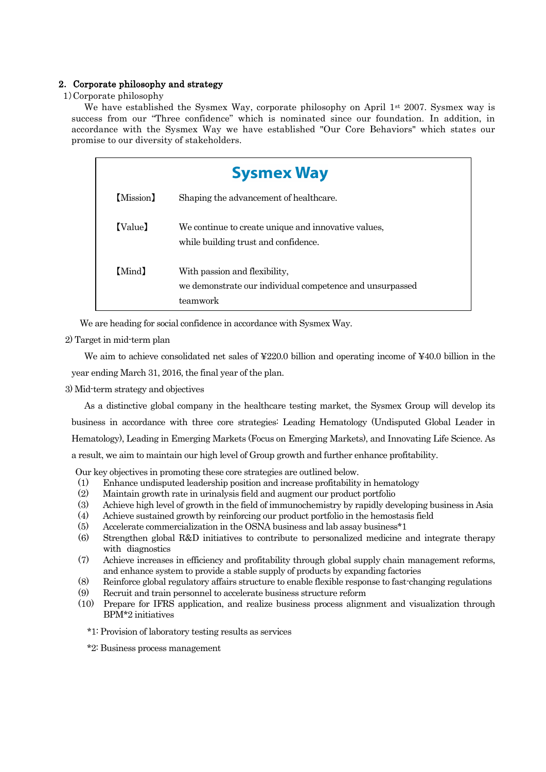# 2. Corporate philosophy and strategy

# 1)Corporate philosophy

We have established the Sysmex Way, corporate philosophy on April  $1^{st}$  2007. Sysmex way is success from our "Three confidence" which is nominated since our foundation. In addition, in accordance with the Sysmex Way we have established "Our Core Behaviors" which states our promise to our diversity of stakeholders.

| <b>Sysmex Way</b>                                                                                     |
|-------------------------------------------------------------------------------------------------------|
| Shaping the advancement of healthcare.                                                                |
| We continue to create unique and innovative values,<br>while building trust and confidence.           |
| With passion and flexibility,<br>we demonstrate our individual competence and unsurpassed<br>teamwork |
|                                                                                                       |

We are heading for social confidence in accordance with Sysmex Way.

2) Target in mid-term plan

We aim to achieve consolidated net sales of ¥220.0 billion and operating income of ¥40.0 billion in the year ending March 31, 2016, the final year of the plan.

3) Mid-term strategy and objectives

As a distinctive global company in the healthcare testing market, the Sysmex Group will develop its business in accordance with three core strategies: Leading Hematology (Undisputed Global Leader in Hematology), Leading in Emerging Markets (Focus on Emerging Markets), and Innovating Life Science. As a result, we aim to maintain our high level of Group growth and further enhance profitability.

Our key objectives in promoting these core strategies are outlined below.

- (1) Enhance undisputed leadership position and increase profitability in hematology
- (2) Maintain growth rate in urinalysis field and augment our product portfolio
- (3) Achieve high level of growth in the field of immunochemistry by rapidly developing business in Asia
- (4) Achieve sustained growth by reinforcing our product portfolio in the hemostasis field
- (5) Accelerate commercialization in the OSNA business and lab assay business\*1
- (6) Strengthen global R&D initiatives to contribute to personalized medicine and integrate therapy with diagnostics
- (7) Achieve increases in efficiency and profitability through global supply chain management reforms, and enhance system to provide a stable supply of products by expanding factories
- (8) Reinforce global regulatory affairs structure to enable flexible response to fast-changing regulations
- (9) Recruit and train personnel to accelerate business structure reform
- (10) Prepare for IFRS application, and realize business process alignment and visualization through BPM\*2 initiatives
	- \*1: Provision of laboratory testing results as services
	- \*2: Business process management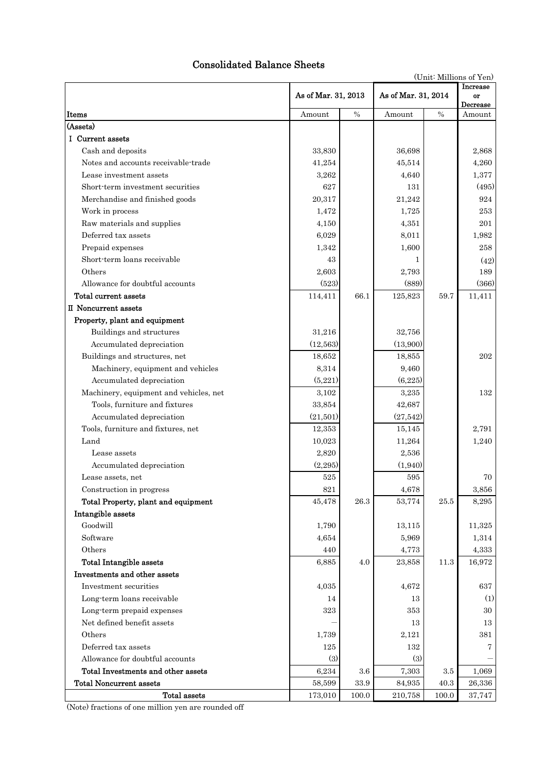# Consolidated Balance Sheets

|  | (Unit: Millions of Yen) |  |  |
|--|-------------------------|--|--|
|--|-------------------------|--|--|

|                                        | As of Mar. 31, 2013 | Increase<br>As of Mar. 31, 2014<br>or |                |          |                    |
|----------------------------------------|---------------------|---------------------------------------|----------------|----------|--------------------|
| Items                                  | Amount              | $\%$                                  | $\%$<br>Amount |          | Decrease<br>Amount |
| (Assets)                               |                     |                                       |                |          |                    |
| I Current assets                       |                     |                                       |                |          |                    |
| Cash and deposits                      | 33,830              |                                       | 36,698         |          | 2,868              |
| Notes and accounts receivable-trade    | 41,254              |                                       | 45,514         |          | 4,260              |
| Lease investment assets                | 3,262               |                                       | 4,640          |          | 1,377              |
| Short-term investment securities       | 627                 |                                       | 131            |          | (495)              |
| Merchandise and finished goods         | 20,317              |                                       | 21,242         |          | 924                |
| Work in process                        | 1,472               |                                       | 1,725          |          | 253                |
| Raw materials and supplies             | 4,150               |                                       | 4,351          |          | 201                |
| Deferred tax assets                    | 6,029               |                                       | 8,011          |          | 1,982              |
| Prepaid expenses                       | 1,342               |                                       | 1,600          |          | 258                |
| Short-term loans receivable            | 43                  |                                       | 1              |          | (42)               |
| Others                                 | 2,603               |                                       | 2,793          |          | 189                |
| Allowance for doubtful accounts        | (523)               |                                       | (889)          |          | (366)              |
| Total current assets                   | 114,411             | 66.1                                  | 125,823        | 59.7     | 11,411             |
| II Noncurrent assets                   |                     |                                       |                |          |                    |
| Property, plant and equipment          |                     |                                       |                |          |                    |
| Buildings and structures               | 31,216              |                                       | 32,756         |          |                    |
| Accumulated depreciation               | (12, 563)           |                                       | (13,900)       |          |                    |
| Buildings and structures, net          | 18,652              |                                       | 18,855         |          | 202                |
| Machinery, equipment and vehicles      | 8,314               |                                       | 9,460          |          |                    |
| Accumulated depreciation               | (5,221)             |                                       | (6,225)        |          |                    |
| Machinery, equipment and vehicles, net | 3,102               |                                       | 3,235          |          | 132                |
| Tools, furniture and fixtures          | 33,854              |                                       | 42,687         |          |                    |
| Accumulated depreciation               | (21,501)            |                                       | (27, 542)      |          |                    |
| Tools, furniture and fixtures, net     | 12,353              |                                       | 15,145         |          | 2,791              |
| Land                                   | 10,023              |                                       | 11,264         |          | 1,240              |
| Lease assets                           | 2,820               |                                       | 2,536          |          |                    |
| Accumulated depreciation               | (2, 295)            |                                       | (1,940)        |          |                    |
| Lease assets, net                      | 525                 |                                       | 595            |          | 70                 |
| Construction in progress               | 821                 |                                       | 4,678          |          | 3,856              |
| Total Property, plant and equipment    | 45,478              | $26.3\,$                              | 53,774         | $25.5\,$ | 8,295              |
| Intangible assets                      |                     |                                       |                |          |                    |
| Goodwill                               | 1,790               |                                       | 13,115         |          | 11,325             |
| Software                               | 4,654               |                                       | 5,969          |          | 1,314              |
| Others                                 | 440                 |                                       | 4,773          |          | 4,333              |
| Total Intangible assets                | 6,885               | 4.0                                   | 23,858         | 11.3     | 16,972             |
| Investments and other assets           |                     |                                       |                |          |                    |
| Investment securities                  | 4,035               |                                       | 4,672          |          | 637                |
| Long-term loans receivable             | 14                  |                                       | 13             |          | (1)                |
| Long-term prepaid expenses             | 323                 |                                       | 353            |          | 30                 |
| Net defined benefit assets             |                     |                                       | 13             |          | 13                 |
| Others                                 | 1,739               |                                       | 2,121          |          | 381                |
| Deferred tax assets                    | 125                 |                                       | 132            |          | 7                  |
| Allowance for doubtful accounts        | (3)                 |                                       | (3)            |          |                    |
| Total Investments and other assets     | 6,234               | $3.6\,$                               | 7,303          | 3.5      | 1,069              |
| <b>Total Noncurrent assets</b>         | 58,599              | $33.9\,$                              | 84,935         | 40.3     | 26,336             |
| Total assets                           | 173,010             | 100.0                                 | 210,758        | 100.0    | 37,747             |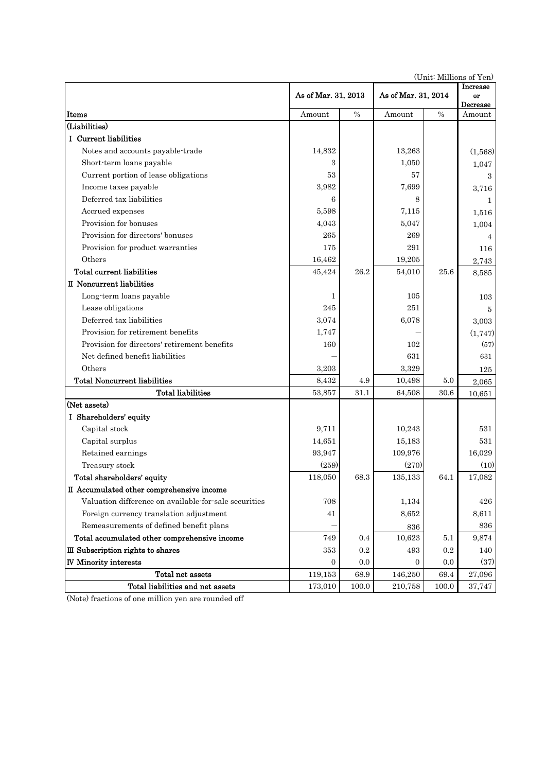|                                                       |                     |       | (OTHE MITHOUS OF THE |               |                                          |
|-------------------------------------------------------|---------------------|-------|----------------------|---------------|------------------------------------------|
|                                                       | As of Mar. 31, 2013 |       | As of Mar. 31, 2014  |               | <b>Increase</b><br>or<br><b>Decrease</b> |
| Items                                                 | Amount              | $\%$  | Amount               | $\frac{0}{0}$ | Amount                                   |
| (Liabilities)                                         |                     |       |                      |               |                                          |
| I Current liabilities                                 |                     |       |                      |               |                                          |
| Notes and accounts payable-trade                      | 14,832              |       | 13,263               |               | (1,568)                                  |
| Short-term loans payable                              | 3                   |       | 1,050                |               | 1,047                                    |
| Current portion of lease obligations                  | 53                  |       | 57                   |               | 3                                        |
| Income taxes payable                                  | 3,982               |       | 7,699                |               | 3,716                                    |
| Deferred tax liabilities                              | 6                   |       | 8                    |               | $\mathbf{1}$                             |
| Accrued expenses                                      | 5,598               |       | 7,115                |               | 1,516                                    |
| Provision for bonuses                                 | 4,043               |       | 5,047                |               | 1,004                                    |
| Provision for directors' bonuses                      | 265                 |       | 269                  |               | 4                                        |
| Provision for product warranties                      | 175                 |       | 291                  |               | 116                                      |
| Others                                                | 16,462              |       | 19,205               |               | 2,743                                    |
| Total current liabilities                             | 45,424              | 26.2  | 54,010               | 25.6          | 8,585                                    |
| II Noncurrent liabilities                             |                     |       |                      |               |                                          |
| Long-term loans payable                               | 1                   |       | 105                  |               | 103                                      |
| Lease obligations                                     | 245                 |       | 251                  |               | 5                                        |
| Deferred tax liabilities                              | 3,074               |       | 6,078                |               | 3,003                                    |
| Provision for retirement benefits                     | 1,747               |       |                      |               | (1,747)                                  |
| Provision for directors' retirement benefits          | 160                 |       | 102                  |               | (57)                                     |
| Net defined benefit liabilities                       |                     |       | 631                  |               | 631                                      |
| Others                                                | 3,203               |       | 3,329                |               | 125                                      |
| <b>Total Noncurrent liabilities</b>                   | 8,432               | 4.9   | 10,498               | 5.0           | 2,065                                    |
| <b>Total liabilities</b>                              | 53,857              | 31.1  | 64,508               | 30.6          | 10,651                                   |
| (Net assets)                                          |                     |       |                      |               |                                          |
| I Shareholders' equity                                |                     |       |                      |               |                                          |
| Capital stock                                         | 9,711               |       | 10,243               |               | 531                                      |
| Capital surplus                                       | 14,651              |       | 15,183               |               | 531                                      |
| Retained earnings                                     | 93,947              |       | 109,976              |               | 16,029                                   |
| Treasury stock                                        | (259)               |       | (270)                |               | (10)                                     |
| Total shareholders' equity                            | 118,050             | 68.3  | 135,133              | 64.1          | 17,082                                   |
| II Accumulated other comprehensive income             |                     |       |                      |               |                                          |
| Valuation difference on available-for-sale securities | 708                 |       | 1,134                |               | 426                                      |
| Foreign currency translation adjustment               | 41                  |       | 8,652                |               | 8,611                                    |
| Remeasurements of defined benefit plans               |                     |       | 836                  |               | 836                                      |
| Total accumulated other comprehensive income          | 749                 | 0.4   | 10,623               | 5.1           | 9,874                                    |
| III Subscription rights to shares                     | 353                 | 0.2   | 493                  | $\rm 0.2$     | 140                                      |
| <b>IV Minority interests</b>                          | $\mathbf{0}$        | 0.0   | 0                    | 0.0           | (37)                                     |
| Total net assets                                      | 119,153             | 68.9  | 146,250              | 69.4          | 27,096                                   |
| Total liabilities and net assets                      | 173,010             | 100.0 | 210,758              | 100.0         | 37,747                                   |

(Unit: Millions of Yen)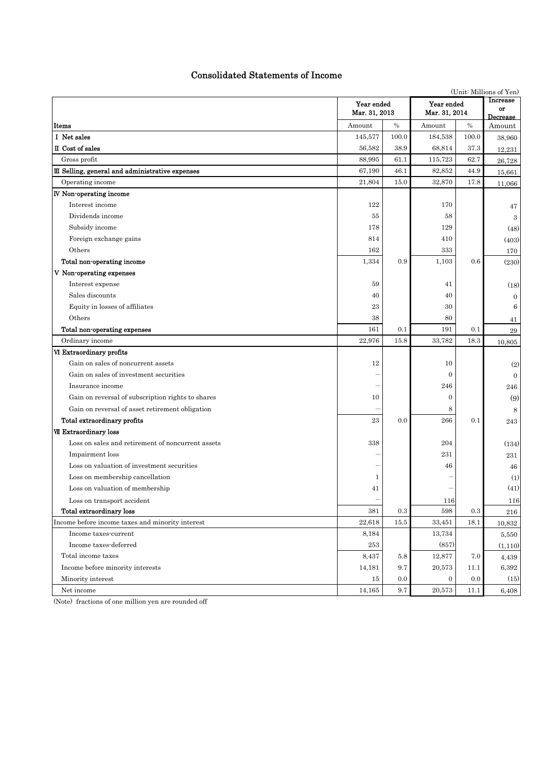# Consolidated Statements of Income

|                                                   |                             | (Unit: Millions of Yen) |                             |           |                            |
|---------------------------------------------------|-----------------------------|-------------------------|-----------------------------|-----------|----------------------------|
|                                                   | Year ended<br>Mar. 31, 2013 |                         | Year ended<br>Mar. 31, 2014 |           | Increase<br>or<br>Decrease |
| Items                                             | Amount                      | $\%$                    | Amount                      | $\%$      | Amount                     |
| I Net sales                                       | 145,577                     | 100.0                   | 184,538                     | 100.0     | 38,960                     |
| II Cost of sales                                  | 56,582                      | 38.9                    | 68,814                      | 37.3      | 12,231                     |
| Gross profit                                      | 88,995                      | 61.1                    | 115,723                     | 62.7      | 26,728                     |
| III Selling, general and administrative expenses  | 67,190                      | 46.1                    | 82,852                      | 44.9      | 15,661                     |
| Operating income                                  | 21,804                      | 15.0                    | 32,870                      | 17.8      | 11,066                     |
| <b>IV</b> Non-operating income                    |                             |                         |                             |           |                            |
| Interest income                                   | 122                         |                         | 170                         |           | 47                         |
| Dividends income                                  | 55                          |                         | 58                          |           | 3                          |
| Subsidy income                                    | 178                         |                         | 129                         |           | (48)                       |
| Foreign exchange gains                            | 814                         |                         | 410                         |           | (403)                      |
| Others                                            | 162                         |                         | 333                         |           | 170                        |
| Total non-operating income                        | 1,334                       | 0.9                     | 1,103                       | 0.6       | (230)                      |
| V Non-operating expenses                          |                             |                         |                             |           |                            |
| Interest expense                                  | 59                          |                         | 41                          |           | (18)                       |
| Sales discounts                                   | 40                          |                         | 40                          |           | $\overline{0}$             |
| Equity in losses of affiliates                    | 23                          |                         | 30                          |           | $\,6$                      |
| Others                                            | 38                          |                         | 80                          |           | 41                         |
| Total non-operating expenses                      | 161                         | 0.1                     | 191                         | 0.1       | $\bf 29$                   |
| Ordinary income                                   | 22,976                      | 15.8                    | 33,782                      | 18.3      | 10,805                     |
| VI Extraordinary profits                          |                             |                         |                             |           |                            |
| Gain on sales of noncurrent assets                | 12                          |                         | 10                          |           | (2)                        |
| Gain on sales of investment securities            |                             |                         | $\overline{0}$              |           | $\overline{0}$             |
| Insurance income                                  |                             |                         | 246                         |           | 246                        |
| Gain on reversal of subscription rights to shares | 10                          |                         | $\boldsymbol{0}$            |           | (9)                        |
| Gain on reversal of asset retirement obligation   |                             |                         | 8                           |           | 8                          |
| Total extraordinary profits                       | 23                          | 0.0                     | 266                         | 0.1       | 243                        |
| VII Extraordinary loss                            |                             |                         |                             |           |                            |
| Loss on sales and retirement of noncurrent assets | 338                         |                         | 204                         |           | (134)                      |
| Impairment loss                                   |                             |                         | 231                         |           | 231                        |
| Loss on valuation of investment securities        |                             |                         | 46                          |           | 46                         |
| Loss on membership cancellation                   | 1                           |                         |                             |           | (1)                        |
| Loss on valuation of membership                   | 41                          |                         |                             |           | (41)                       |
| Loss on transport accident                        |                             |                         | 116                         |           | $116\,$                    |
| <b>Total extraordinary loss</b>                   | 381                         | 0.3                     | 598                         | $\rm 0.3$ | 216                        |
| Income before income taxes and minority interest  | 22,618                      | 15.5                    | 33,451                      | 18.1      | 10,832                     |
| Income taxes-current                              | 8,184                       |                         | 13,734                      |           | 5,550                      |
| Income taxes-deferred                             | 253                         |                         | (857)                       |           | (1,110)                    |
| Total income taxes                                | 8,437                       | $5.8\,$                 | 12,877                      | 7.0       | 4,439                      |
| Income before minority interests                  | 14,181                      | 9.7                     | 20,573                      | 11.1      | $6,\!392$                  |
| Minority interest                                 | 15                          | 0.0                     | $\mathbf{0}$                | 0.0       | (15)                       |
| Net income                                        | 14,165                      | 9.7                     | 20,573                      | 11.1      | 6,408                      |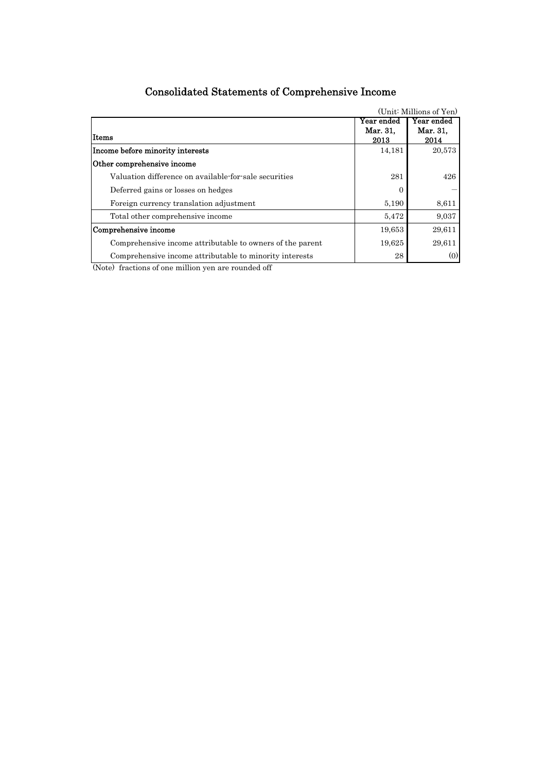| Year ended<br>Mar. 31, | Year ended     |
|------------------------|----------------|
|                        |                |
|                        | Mar. 31,       |
|                        | 2014           |
|                        | 20,573         |
|                        |                |
| 281                    | 426            |
| 0                      |                |
| 5,190                  | 8,611          |
| 5.472                  | 9,037          |
| 19.653                 | 29,611         |
| 19.625                 | 29,611         |
| 28                     | (0)            |
|                        | 2013<br>14,181 |

# Consolidated Statements of Comprehensive Income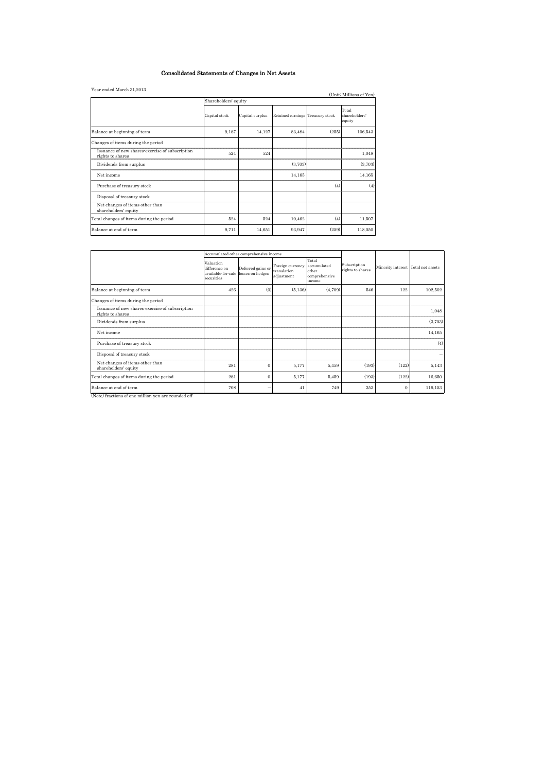#### Consolidated Statements of Changes in Net Assets

| Year ended March 31,2013                                            |                      |                 |                                  |       | (Unit: Millions of Yen)          |  |  |  |  |  |
|---------------------------------------------------------------------|----------------------|-----------------|----------------------------------|-------|----------------------------------|--|--|--|--|--|
|                                                                     | Shareholders' equity |                 |                                  |       |                                  |  |  |  |  |  |
|                                                                     | Capital stock        | Capital surplus | Retained earnings Treasury stock |       | Total<br>shareholders'<br>equity |  |  |  |  |  |
| Balance at beginning of term                                        | 9,187                | 14,127          | 83,484                           | (255) | 106,543                          |  |  |  |  |  |
| Changes of items during the period                                  |                      |                 |                                  |       |                                  |  |  |  |  |  |
| Issuance of new shares exercise of subscription<br>rights to shares | 524                  | 524             |                                  |       | 1,048                            |  |  |  |  |  |
| Dividends from surplus                                              |                      |                 | (3,703)                          |       | (3,703)                          |  |  |  |  |  |
| Net income                                                          |                      |                 | 14,165                           |       | 14,165                           |  |  |  |  |  |
| Purchase of treasury stock                                          |                      |                 |                                  | (4)   | (4)                              |  |  |  |  |  |
| Disposal of treasury stock                                          |                      |                 |                                  |       |                                  |  |  |  |  |  |
| Net changes of items other than<br>shareholders' equity             |                      |                 |                                  |       |                                  |  |  |  |  |  |
| Total changes of items during the period                            | 524                  | 524             | 10,462                           | (4)   | 11,507                           |  |  |  |  |  |
| Balance at end of term                                              | 9,711                | 14,651          | 93,947                           | (259) | 118,050                          |  |  |  |  |  |

|                                                                     |                                                                | Accumulated other comprehensive income |                                               |                                                          |                                  |                                    |         |
|---------------------------------------------------------------------|----------------------------------------------------------------|----------------------------------------|-----------------------------------------------|----------------------------------------------------------|----------------------------------|------------------------------------|---------|
|                                                                     | Valuation<br>difference on<br>available-for-sale<br>securities | Deferred gains or<br>losses on hedges  | Foreign currency<br>translation<br>adjustment | Total<br>accumulated<br>other<br>comprehensive<br>income | Subscription<br>rights to shares | Minority interest Total net assets |         |
| Balance at beginning of term                                        | 426                                                            | (0)                                    | (5, 136)                                      | (4,709)                                                  | 546                              | 122                                | 102,502 |
| Changes of items during the period                                  |                                                                |                                        |                                               |                                                          |                                  |                                    |         |
| Issuance of new shares exercise of subscription<br>rights to shares |                                                                |                                        |                                               |                                                          |                                  |                                    | 1,048   |
| Dividends from surplus                                              |                                                                |                                        |                                               |                                                          |                                  |                                    | (3,703) |
| Net income                                                          |                                                                |                                        |                                               |                                                          |                                  |                                    | 14,165  |
| Purchase of treasury stock                                          |                                                                |                                        |                                               |                                                          |                                  |                                    | (4)     |
| Disposal of treasury stock                                          |                                                                |                                        |                                               |                                                          |                                  |                                    |         |
| Net changes of items other than<br>shareholders' equity             | 281                                                            | $\mathbf{0}$                           | 5.177                                         | 5,459                                                    | (193)                            | (122)                              | 5,143   |
| Total changes of items during the period                            | 281                                                            | $\Omega$                               | 5,177                                         | 5,459                                                    | (193)                            | (122)                              | 16,650  |
| Balance at end of term                                              | 708                                                            | -                                      | 41                                            | 749                                                      | 353                              | $\Omega$                           | 119,153 |
| (Note) fractions of one million yen are rounded off                 |                                                                |                                        |                                               |                                                          |                                  |                                    |         |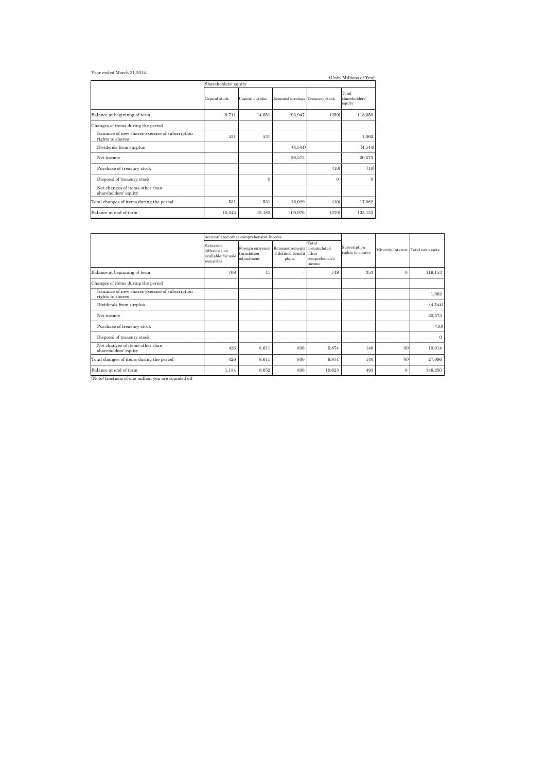#### Year ended March 31,2014

| Year ended March 31,2014                                            |                      |                 |                                  |              | (Unit: Millions of Yen)          |  |  |  |  |  |
|---------------------------------------------------------------------|----------------------|-----------------|----------------------------------|--------------|----------------------------------|--|--|--|--|--|
|                                                                     | Shareholders' equity |                 |                                  |              |                                  |  |  |  |  |  |
|                                                                     | Capital stock        | Capital surplus | Retained earnings Treasury stock |              | Total<br>shareholders'<br>equity |  |  |  |  |  |
| Balance at begininng of term                                        | 9,711                | 14,651          | 93,947                           | (259)        | 118,050                          |  |  |  |  |  |
| Changes of items during the period                                  |                      |                 |                                  |              |                                  |  |  |  |  |  |
| Issuance of new shares exercise of subscription<br>rights to shares | 531                  | 531             |                                  |              | 1,062                            |  |  |  |  |  |
| Dividends from surplus                                              |                      |                 | (4,544)                          |              | (4,544)                          |  |  |  |  |  |
| Net income                                                          |                      |                 | 20,573                           |              | 20,573                           |  |  |  |  |  |
| Purchase of treasury stock                                          |                      |                 |                                  | (10)         | (10)                             |  |  |  |  |  |
| Disposal of treasury stock                                          |                      | $\theta$        |                                  | $\mathbf{0}$ | 0                                |  |  |  |  |  |
| Net changes of items other than<br>shareholders' equity             |                      |                 |                                  |              |                                  |  |  |  |  |  |
| Total changes of items during the period                            | 531                  | 531             | 16,029                           | (10)         | 17,082                           |  |  |  |  |  |
| Balance at end of term                                              | 10,243               | 15,183          | 109,976                          | (270)        | 135,133                          |  |  |  |  |  |

|                                                                     |                                                                | Accumulated other comprehensive income        |                                                                 |                                  |                                  |                                    |                |
|---------------------------------------------------------------------|----------------------------------------------------------------|-----------------------------------------------|-----------------------------------------------------------------|----------------------------------|----------------------------------|------------------------------------|----------------|
|                                                                     | Valuation<br>difference on<br>available-for-sale<br>securities | Foreign currency<br>translation<br>adjustment | Remeasurements accumulated<br>of defined benefit other<br>plans | Total<br>comprehensive<br>income | Subscription<br>rights to shares | Minority interest Total net assets |                |
| Balance at beginning of term                                        | 708                                                            | 41                                            |                                                                 | 749                              | 353                              | $\Omega$                           | 119,153        |
| Changes of items during the period                                  |                                                                |                                               |                                                                 |                                  |                                  |                                    |                |
| Issuance of new shares exercise of subscription<br>rights to shares |                                                                |                                               |                                                                 |                                  |                                  |                                    | 1,062          |
| Dividends from surplus                                              |                                                                |                                               |                                                                 |                                  |                                  |                                    | (4,544)        |
| Net income                                                          |                                                                |                                               |                                                                 |                                  |                                  |                                    | 20,573         |
| Purchase of treasury stock                                          |                                                                |                                               |                                                                 |                                  |                                  |                                    | (10)           |
| Disposal of treasury stock                                          |                                                                |                                               |                                                                 |                                  |                                  |                                    | $\overline{0}$ |
| Net changes of items other than<br>shareholders' equity             | 426                                                            | 8,611                                         | 836                                                             | 9,874                            | 140                              | (0)                                | 10,014         |
| Total changes of items during the period                            | 426                                                            | 8,611                                         | 836                                                             | 9,874                            | 140                              | (0)                                | 27,096         |
| Balance at end of term<br>$\mathbf{A}$<br>$\sim$ $\sim$ $\sim$<br>  | 1,134                                                          | 8,652                                         | 836                                                             | 10,623                           | 493                              | $\Omega$                           | 146,250        |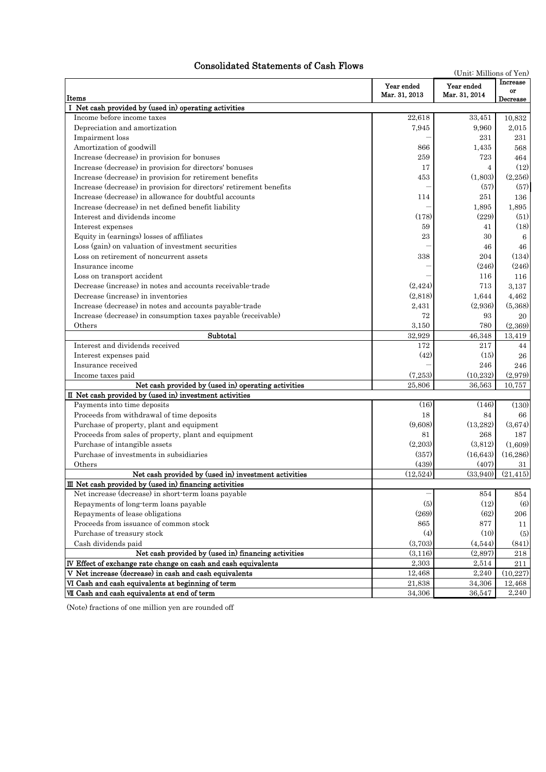# Consolidated Statements of Cash Flows

| (Unit: Millions of Yen)                                             |                             |                             |                            |  |  |
|---------------------------------------------------------------------|-----------------------------|-----------------------------|----------------------------|--|--|
| Items                                                               | Year ended<br>Mar. 31, 2013 | Year ended<br>Mar. 31, 2014 | Increase<br>or<br>Decrease |  |  |
| I Net cash provided by (used in) operating activities               |                             |                             |                            |  |  |
| Income before income taxes                                          | 22,618                      | 33,451                      | 10,832                     |  |  |
| Depreciation and amortization                                       | 7,945                       | 9,960                       | 2,015                      |  |  |
| Impairment loss                                                     |                             | 231                         | 231                        |  |  |
| Amortization of goodwill                                            | 866                         | 1,435                       | 568                        |  |  |
| Increase (decrease) in provision for bonuses                        | 259                         | 723                         | 464                        |  |  |
| Increase (decrease) in provision for directors' bonuses             | 17                          | 4                           | (12)                       |  |  |
| Increase (decrease) in provision for retirement benefits            | 453                         | (1,803)                     | (2,256)                    |  |  |
| Increase (decrease) in provision for directors' retirement benefits |                             | (57)                        | (57)                       |  |  |
| Increase (decrease) in allowance for doubtful accounts              | 114                         | 251                         | 136                        |  |  |
| Increase (decrease) in net defined benefit liability                |                             | 1,895                       | 1,895                      |  |  |
| Interest and dividends income                                       | (178)                       | (229)                       | (51)                       |  |  |
| Interest expenses                                                   | 59                          | 41                          | (18)                       |  |  |
| Equity in (earnings) losses of affiliates                           | 23                          | 30                          | 6                          |  |  |
| Loss (gain) on valuation of investment securities                   |                             | 46                          | 46                         |  |  |
| Loss on retirement of noncurrent assets                             | 338                         | 204                         | (134)                      |  |  |
| Insurance income                                                    |                             | (246)                       | (246)                      |  |  |
| Loss on transport accident                                          |                             | 116                         | 116                        |  |  |
| Decrease (increase) in notes and accounts receivable-trade          | (2.424)                     | 713                         | 3.137                      |  |  |
| Decrease (increase) in inventories                                  | (2,818)                     | 1,644                       | 4,462                      |  |  |
| Increase (decrease) in notes and accounts payable-trade             | 2.431                       | (2,936)                     | (5,368)                    |  |  |
| Increase (decrease) in consumption taxes payable (receivable)       | 72                          | 93                          | 20                         |  |  |
| Others                                                              | 3,150                       | 780                         | (2,369)                    |  |  |
| Subtotal                                                            | 32,929                      | 46,348                      | 13,419                     |  |  |
| Interest and dividends received                                     | 172                         | 217                         | 44                         |  |  |
| Interest expenses paid                                              | (42)                        | (15)                        | 26                         |  |  |
| Insurance received                                                  |                             | 246                         | 246                        |  |  |
| Income taxes paid                                                   | (7.253)                     | (10, 232)                   | (2,979)                    |  |  |
| Net cash provided by (used in) operating activities                 | 25,806                      | 36,563                      | 10,757                     |  |  |
| II Net cash provided by (used in) investment activities             |                             |                             |                            |  |  |
| Payments into time deposits                                         | (16)                        | (146)                       | (130)                      |  |  |
| Proceeds from withdrawal of time deposits                           | 18                          | 84                          | 66                         |  |  |
| Purchase of property, plant and equipment                           | (9,608)                     | (13, 282)                   | (3,674)                    |  |  |
| Proceeds from sales of property, plant and equipment                | 81                          | 268                         | 187                        |  |  |
| Purchase of intangible assets                                       | (2,203)                     | (3,812)                     | (1,609)                    |  |  |
| Purchase of investments in subsidiaries                             | (357)                       | (16, 643)                   | (16, 286)                  |  |  |
| Others                                                              | (439)                       | (407)                       | 31                         |  |  |
| Net cash provided by (used in) investment activities                | (12,524)                    | (33,940)                    | (21, 415)                  |  |  |
| III Net cash provided by (used in) financing activities             |                             |                             |                            |  |  |
| Net increase (decrease) in short-term loans payable                 |                             | 854                         | 854                        |  |  |
| Repayments of long-term loans payable                               | (5)                         | (12)                        | $\left( 6\right)$          |  |  |
| Repayments of lease obligations                                     | (269)                       | (62)                        | 206                        |  |  |
| Proceeds from issuance of common stock                              | 865                         | 877                         | 11                         |  |  |
| Purchase of treasury stock                                          | (4)                         | (10)                        | (5)                        |  |  |
| Cash dividends paid                                                 | (3,703)                     | (4,544)                     | (841)                      |  |  |
| Net cash provided by (used in) financing activities                 | (3,116)                     | (2,897)                     | 218                        |  |  |
| IV Effect of exchange rate change on cash and cash equivalents      | 2,303                       | 2,514                       | 211                        |  |  |
| V Net increase (decrease) in cash and cash equivalents              | 12,468                      | 2,240                       | (10,227)                   |  |  |
| VI Cash and cash equivalents at beginning of term                   | 21,838                      | 34,306                      | 12,468                     |  |  |
| VII Cash and cash equivalents at end of term                        | 34,306                      | 36,547                      | 2,240                      |  |  |